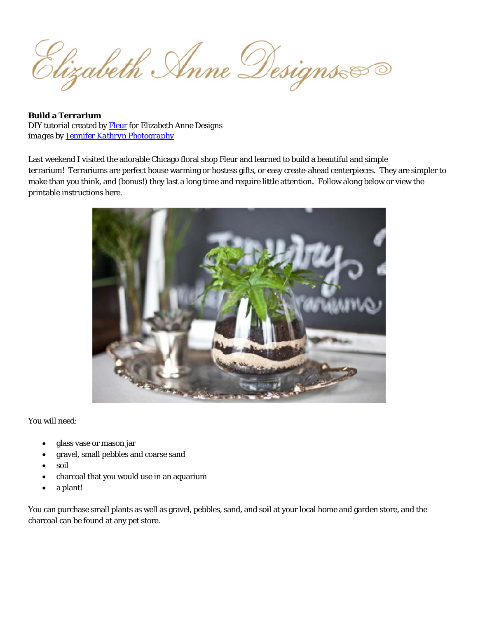Elizabeth Anne Designs

**Build a Terrarium** DIY tutorial created by Fleur for Elizabeth Anne Designs images by Jennifer Kathryn Photography

Last weekend I visited the adorable Chicago floral shop Fleur and learned to build a beautiful and simple terrarium! Terrariums are perfect house warming or hostess gifts, or easy create-ahead centerpieces. They are simpler to make than you think, and (bonus!) they last a long time and require little attention. Follow along below or view the printable instructions here.



You will need:

- glass vase or mason jar
- gravel, small pebbles and coarse sand
- soil
- charcoal that you would use in an aquarium
- a plant!

You can purchase small plants as well as gravel, pebbles, sand, and soil at your local home and garden store, and the charcoal can be found at any pet store.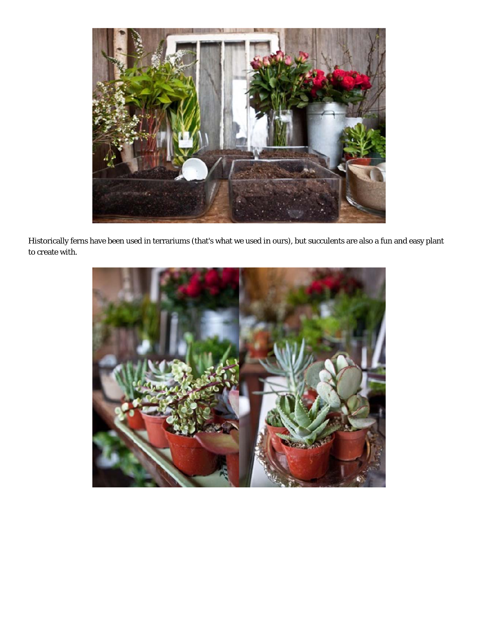

Histo rically ferns have been used in terrariums (that's what we used in ours), but succulents are also a fun and easy plantto cre ate with.

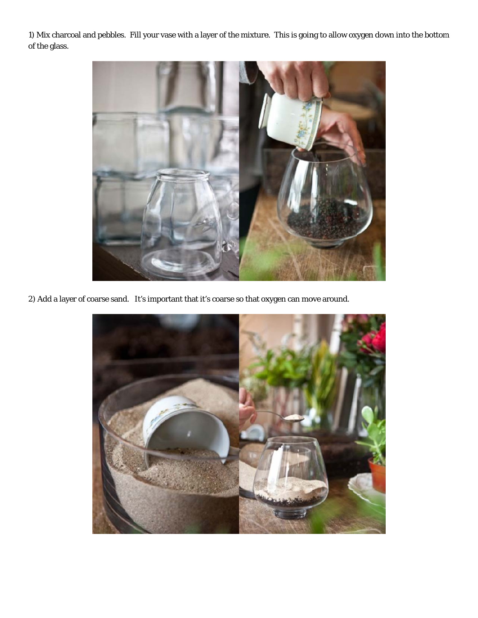1) Mix charcoal and pebbles. Fill your vase with a layer of the mixture. This is going to allow oxygen down into the bottom of the glass.



2) Add a layer of coarse sand. It's important that it's coarse so that oxygen can move around.

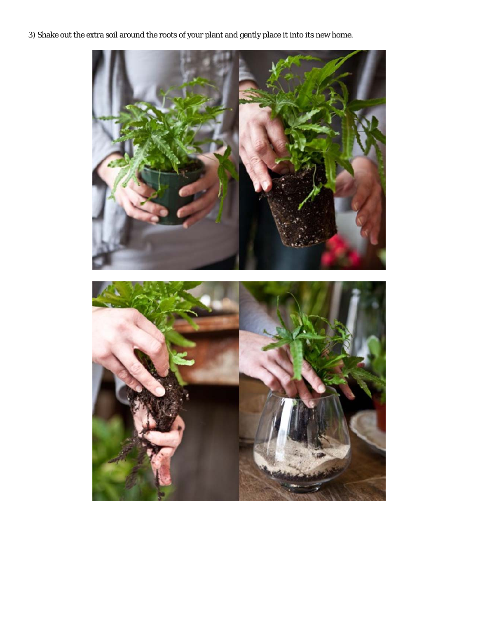3) Shake out the extra soil around the roots of your plant and gently place it into its new home.

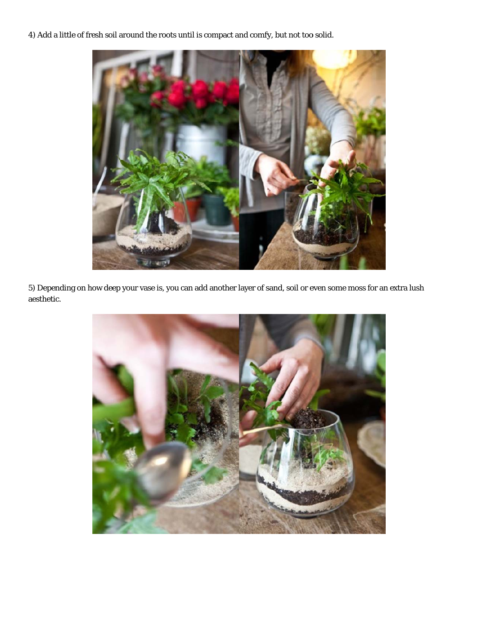4) Add a little of fresh soil around the roots until is compact and comfy, but not too solid.



5) Depending on how deep your vase is, you can add another layer of sand, soil or even some moss for an extra lush aesthetic.